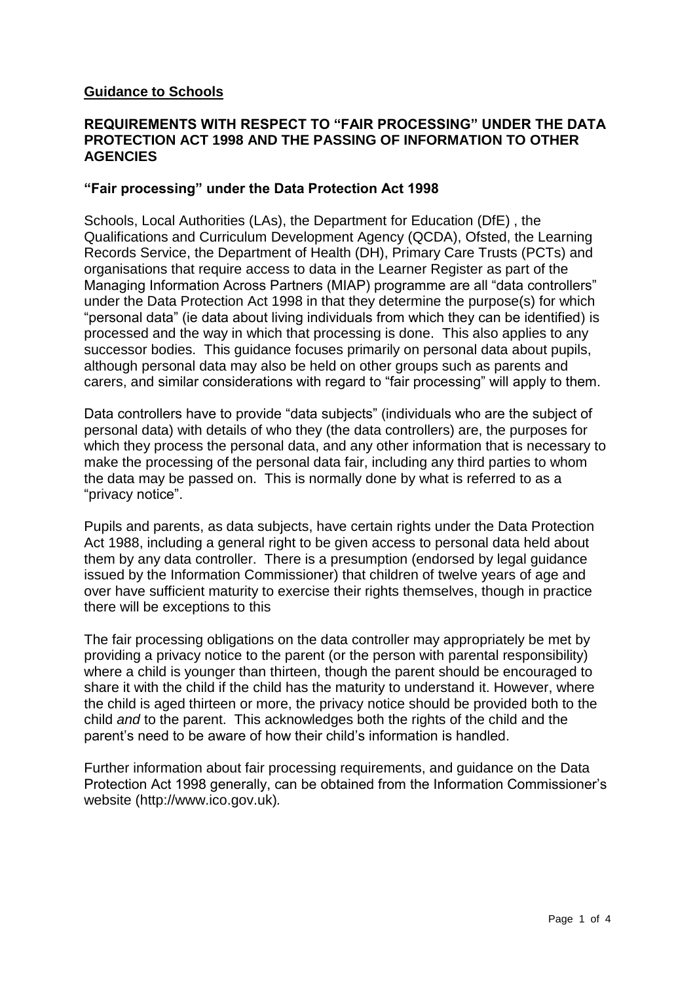### **Guidance to Schools**

#### **REQUIREMENTS WITH RESPECT TO "FAIR PROCESSING" UNDER THE DATA PROTECTION ACT 1998 AND THE PASSING OF INFORMATION TO OTHER AGENCIES**

### **"Fair processing" under the Data Protection Act 1998**

Schools, Local Authorities (LAs), the Department for Education (DfE) , the Qualifications and Curriculum Development Agency (QCDA), Ofsted, the Learning Records Service, the Department of Health (DH), Primary Care Trusts (PCTs) and organisations that require access to data in the Learner Register as part of the Managing Information Across Partners (MIAP) programme are all "data controllers" under the Data Protection Act 1998 in that they determine the purpose(s) for which "personal data" (ie data about living individuals from which they can be identified) is processed and the way in which that processing is done. This also applies to any successor bodies. This guidance focuses primarily on personal data about pupils, although personal data may also be held on other groups such as parents and carers, and similar considerations with regard to "fair processing" will apply to them.

Data controllers have to provide "data subjects" (individuals who are the subject of personal data) with details of who they (the data controllers) are, the purposes for which they process the personal data, and any other information that is necessary to make the processing of the personal data fair, including any third parties to whom the data may be passed on. This is normally done by what is referred to as a "privacy notice".

Pupils and parents, as data subjects, have certain rights under the Data Protection Act 1988, including a general right to be given access to personal data held about them by any data controller. There is a presumption (endorsed by legal guidance issued by the Information Commissioner) that children of twelve years of age and over have sufficient maturity to exercise their rights themselves, though in practice there will be exceptions to this

The fair processing obligations on the data controller may appropriately be met by providing a privacy notice to the parent (or the person with parental responsibility) where a child is younger than thirteen, though the parent should be encouraged to share it with the child if the child has the maturity to understand it. However, where the child is aged thirteen or more, the privacy notice should be provided both to the child *and* to the parent. This acknowledges both the rights of the child and the parent's need to be aware of how their child's information is handled.

Further information about fair processing requirements, and guidance on the Data Protection Act 1998 generally, can be obtained from the Information Commissioner's website (http://www.ico.gov.uk)*.*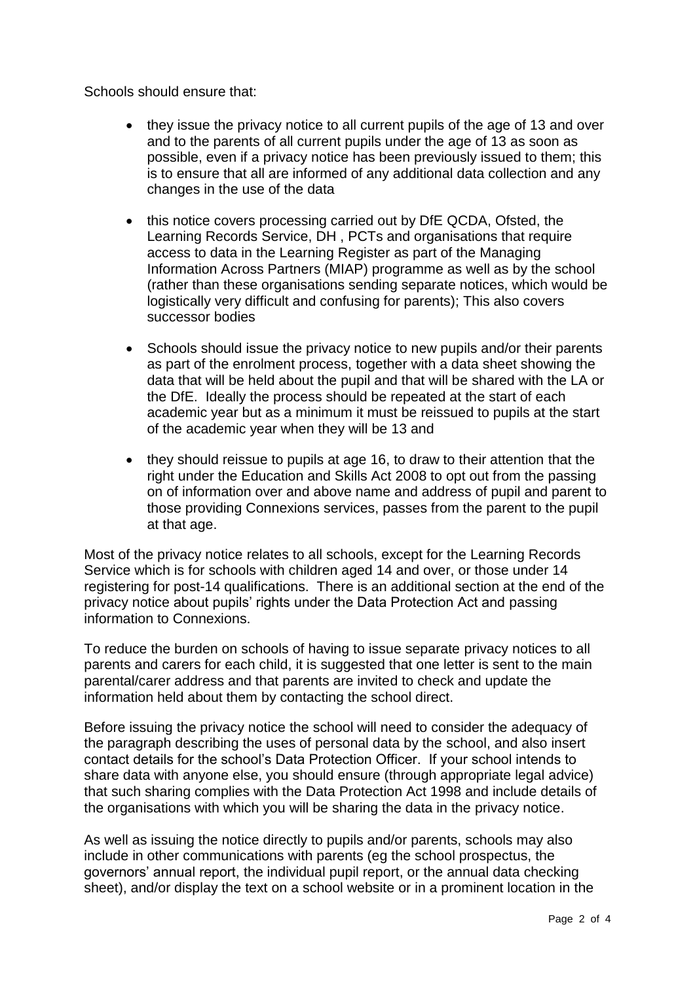Schools should ensure that:

- they issue the privacy notice to all current pupils of the age of 13 and over and to the parents of all current pupils under the age of 13 as soon as possible, even if a privacy notice has been previously issued to them; this is to ensure that all are informed of any additional data collection and any changes in the use of the data
- this notice covers processing carried out by DfE QCDA, Ofsted, the Learning Records Service, DH , PCTs and organisations that require access to data in the Learning Register as part of the Managing Information Across Partners (MIAP) programme as well as by the school (rather than these organisations sending separate notices, which would be logistically very difficult and confusing for parents); This also covers successor bodies
- Schools should issue the privacy notice to new pupils and/or their parents as part of the enrolment process, together with a data sheet showing the data that will be held about the pupil and that will be shared with the LA or the DfE. Ideally the process should be repeated at the start of each academic year but as a minimum it must be reissued to pupils at the start of the academic year when they will be 13 and
- they should reissue to pupils at age 16, to draw to their attention that the right under the Education and Skills Act 2008 to opt out from the passing on of information over and above name and address of pupil and parent to those providing Connexions services, passes from the parent to the pupil at that age.

Most of the privacy notice relates to all schools, except for the Learning Records Service which is for schools with children aged 14 and over, or those under 14 registering for post-14 qualifications. There is an additional section at the end of the privacy notice about pupils' rights under the Data Protection Act and passing information to Connexions.

To reduce the burden on schools of having to issue separate privacy notices to all parents and carers for each child, it is suggested that one letter is sent to the main parental/carer address and that parents are invited to check and update the information held about them by contacting the school direct.

Before issuing the privacy notice the school will need to consider the adequacy of the paragraph describing the uses of personal data by the school, and also insert contact details for the school's Data Protection Officer. If your school intends to share data with anyone else, you should ensure (through appropriate legal advice) that such sharing complies with the Data Protection Act 1998 and include details of the organisations with which you will be sharing the data in the privacy notice.

As well as issuing the notice directly to pupils and/or parents, schools may also include in other communications with parents (eg the school prospectus, the governors' annual report, the individual pupil report, or the annual data checking sheet), and/or display the text on a school website or in a prominent location in the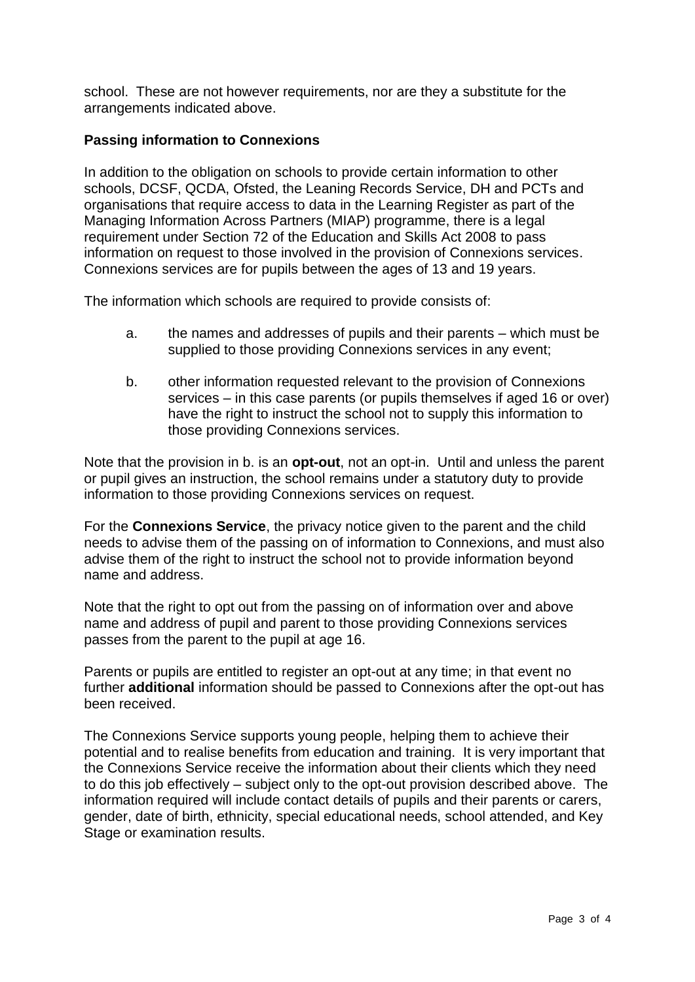school. These are not however requirements, nor are they a substitute for the arrangements indicated above.

# **Passing information to Connexions**

In addition to the obligation on schools to provide certain information to other schools, DCSF, QCDA, Ofsted, the Leaning Records Service, DH and PCTs and organisations that require access to data in the Learning Register as part of the Managing Information Across Partners (MIAP) programme, there is a legal requirement under Section 72 of the Education and Skills Act 2008 to pass information on request to those involved in the provision of Connexions services. Connexions services are for pupils between the ages of 13 and 19 years.

The information which schools are required to provide consists of:

- a. the names and addresses of pupils and their parents which must be supplied to those providing Connexions services in any event;
- b. other information requested relevant to the provision of Connexions services – in this case parents (or pupils themselves if aged 16 or over) have the right to instruct the school not to supply this information to those providing Connexions services.

Note that the provision in b. is an **opt-out**, not an opt-in. Until and unless the parent or pupil gives an instruction, the school remains under a statutory duty to provide information to those providing Connexions services on request.

For the **Connexions Service**, the privacy notice given to the parent and the child needs to advise them of the passing on of information to Connexions, and must also advise them of the right to instruct the school not to provide information beyond name and address.

Note that the right to opt out from the passing on of information over and above name and address of pupil and parent to those providing Connexions services passes from the parent to the pupil at age 16.

Parents or pupils are entitled to register an opt-out at any time; in that event no further **additional** information should be passed to Connexions after the opt-out has been received.

The Connexions Service supports young people, helping them to achieve their potential and to realise benefits from education and training. It is very important that the Connexions Service receive the information about their clients which they need to do this job effectively – subject only to the opt-out provision described above. The information required will include contact details of pupils and their parents or carers, gender, date of birth, ethnicity, special educational needs, school attended, and Key Stage or examination results.